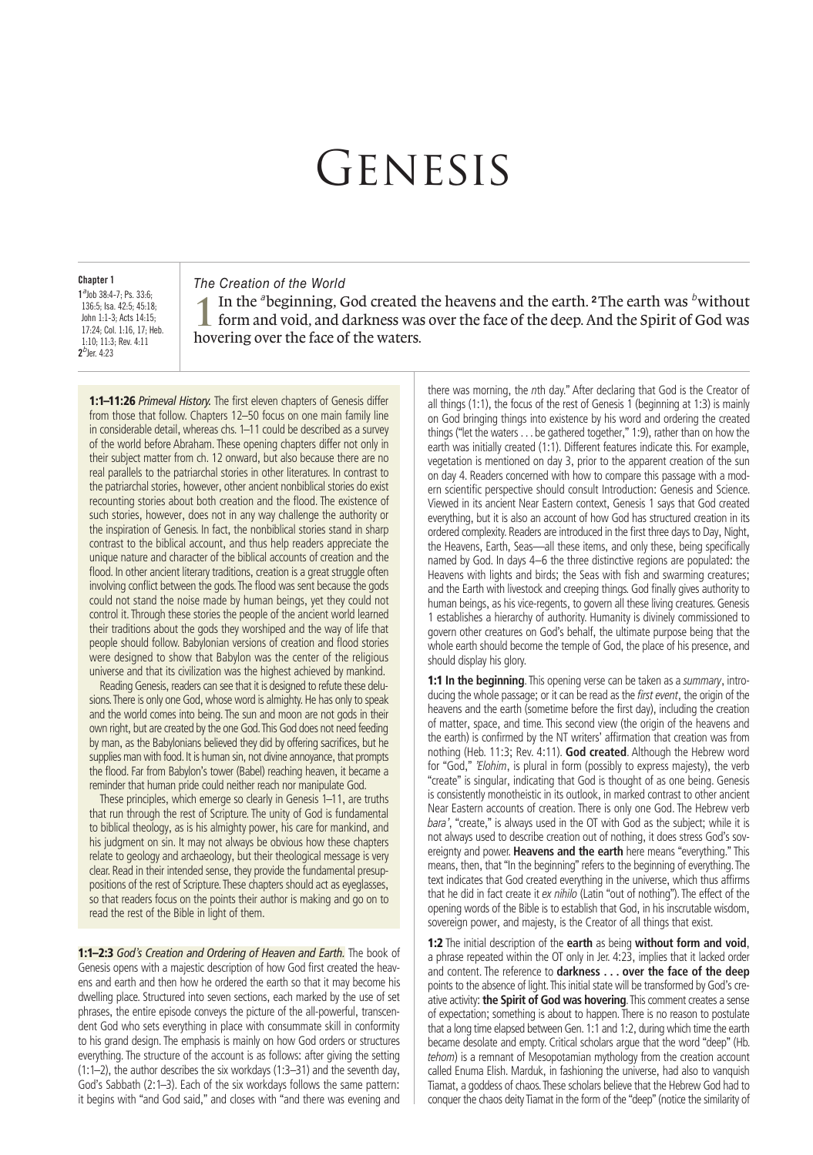## Genesis

Chapter 1

1 *a* Job 38:4-7; Ps. 33:6; 136:5; Isa. 42:5; 45:18; John 1:1-3; Acts 14:15; 17:24; Col. 1:16, 17; Heb. 1:10; 11:3; Rev. 4:11 2 *b* Jer. 4:23

## *The Creation of the World*

**1** In the <sup>*a*</sup> beginning, God created the heavens and the earth. <sup>2</sup>The earth was <sup>*b*</sup> without form and void, and darkness was over the face of the deep. And the Spirit of God was beginning, God created the heavens and the earth. **<sup>2</sup>**The earth was *<sup>b</sup>* without hovering over the face of the waters.

1:1-11:26 Primeval History. The first eleven chapters of Genesis differ from those that follow. Chapters 12–50 focus on one main family line in considerable detail, whereas chs. 1–11 could be described as a survey of the world before Abraham. These opening chapters differ not only in their subject matter from ch. 12 onward, but also because there are no real parallels to the patriarchal stories in other literatures. In contrast to the patriarchal stories, however, other ancient nonbiblical stories do exist recounting stories about both creation and the flood. The existence of such stories, however, does not in any way challenge the authority or the inspiration of Genesis. In fact, the nonbiblical stories stand in sharp contrast to the biblical account, and thus help readers appreciate the unique nature and character of the biblical accounts of creation and the flood. In other ancient literary traditions, creation is a great struggle often involving conflict between the gods. The flood was sent because the gods could not stand the noise made by human beings, yet they could not control it. Through these stories the people of the ancient world learned their traditions about the gods they worshiped and the way of life that people should follow. Babylonian versions of creation and flood stories were designed to show that Babylon was the center of the religious universe and that its civilization was the highest achieved by mankind.

Reading Genesis, readers can see that it is designed to refute these delusions. There is only one God, whose word is almighty. He has only to speak and the world comes into being. The sun and moon are not gods in their own right, but are created by the one God. This God does not need feeding by man, as the Babylonians believed they did by offering sacrifices, but he supplies man with food. It is human sin, not divine annoyance, that prompts the flood. Far from Babylon's tower (Babel) reaching heaven, it became a reminder that human pride could neither reach nor manipulate God.

These principles, which emerge so clearly in Genesis 1–11, are truths that run through the rest of Scripture. The unity of God is fundamental to biblical theology, as is his almighty power, his care for mankind, and his judgment on sin. It may not always be obvious how these chapters relate to geology and archaeology, but their theological message is very clear. Read in their intended sense, they provide the fundamental presuppositions of the rest of Scripture. These chapters should act as eyeglasses, so that readers focus on the points their author is making and go on to read the rest of the Bible in light of them.

1:1–2:3 God*'*s Creation and Ordering of Heaven and Earth. The book of Genesis opens with a majestic description of how God first created the heavens and earth and then how he ordered the earth so that it may become his dwelling place. Structured into seven sections, each marked by the use of set phrases, the entire episode conveys the picture of the all-powerful, transcendent God who sets everything in place with consummate skill in conformity to his grand design. The emphasis is mainly on how God orders or structures everything. The structure of the account is as follows: after giving the setting (1:1–2), the author describes the six workdays (1:3–31) and the seventh day, God's Sabbath (2:1–3). Each of the six workdays follows the same pattern: it begins with "and God said," and closes with "and there was evening and there was morning, the nth day." After declaring that God is the Creator of all things (1:1), the focus of the rest of Genesis 1 (beginning at 1:3) is mainly on God bringing things into existence by his word and ordering the created things ("let the waters . . . be gathered together," 1:9), rather than on how the earth was initially created (1:1). Different features indicate this. For example, vegetation is mentioned on day 3, prior to the apparent creation of the sun on day 4. Readers concerned with how to compare this passage with a modern scientific perspective should consult Introduction: Genesis and Science. Viewed in its ancient Near Eastern context, Genesis 1 says that God created everything, but it is also an account of how God has structured creation in its ordered complexity. Readers are introduced in the first three days to Day, Night, the Heavens, Earth, Seas—all these items, and only these, being specifically named by God. In days 4–6 the three distinctive regions are populated: the Heavens with lights and birds; the Seas with fish and swarming creatures; and the Earth with livestock and creeping things. God finally gives authority to human beings, as his vice-regents, to govern all these living creatures. Genesis 1 establishes a hierarchy of authority. Humanity is divinely commissioned to govern other creatures on God's behalf, the ultimate purpose being that the whole earth should become the temple of God, the place of his presence, and should display his glory.

1:1 In the beginning. This opening verse can be taken as a summary, introducing the whole passage; or it can be read as the first event, the origin of the heavens and the earth (sometime before the first day), including the creation of matter, space, and time. This second view (the origin of the heavens and the earth) is confirmed by the NT writers' affirmation that creation was from nothing (Heb. 11:3; Rev. 4:11). **God created**. Although the Hebrew word for "God," *'*Elohim, is plural in form (possibly to express majesty), the verb "create" is singular, indicating that God is thought of as one being. Genesis is consistently monotheistic in its outlook, in marked contrast to other ancient Near Eastern accounts of creation. There is only one God. The Hebrew verb bara*'*, "create," is always used in the OT with God as the subject; while it is not always used to describe creation out of nothing, it does stress God's sovereignty and power. **Heavens and the earth** here means "everything." This means, then, that "In the beginning" refers to the beginning of everything. The text indicates that God created everything in the universe, which thus affirms that he did in fact create it ex nihilo (Latin "out of nothing"). The effect of the opening words of the Bible is to establish that God, in his inscrutable wisdom, sovereign power, and majesty, is the Creator of all things that exist.

1:2 The initial description of the **earth** as being **without form and void**, a phrase repeated within the OT only in Jer. 4:23, implies that it lacked order and content. The reference to **darkness . . . over the face of the deep** points to the absence of light. This initial state will be transformed by God's creative activity: **the Spirit of God was hovering**. This comment creates a sense of expectation; something is about to happen. There is no reason to postulate that a long time elapsed between Gen. 1:1 and 1:2, during which time the earth became desolate and empty. Critical scholars argue that the word "deep" (Hb. tehom) is a remnant of Mesopotamian mythology from the creation account called Enuma Elish. Marduk, in fashioning the universe, had also to vanquish Tiamat, a goddess of chaos. These scholars believe that the Hebrew God had to conquer the chaos deity Tiamat in the form of the "deep" (notice the similarity of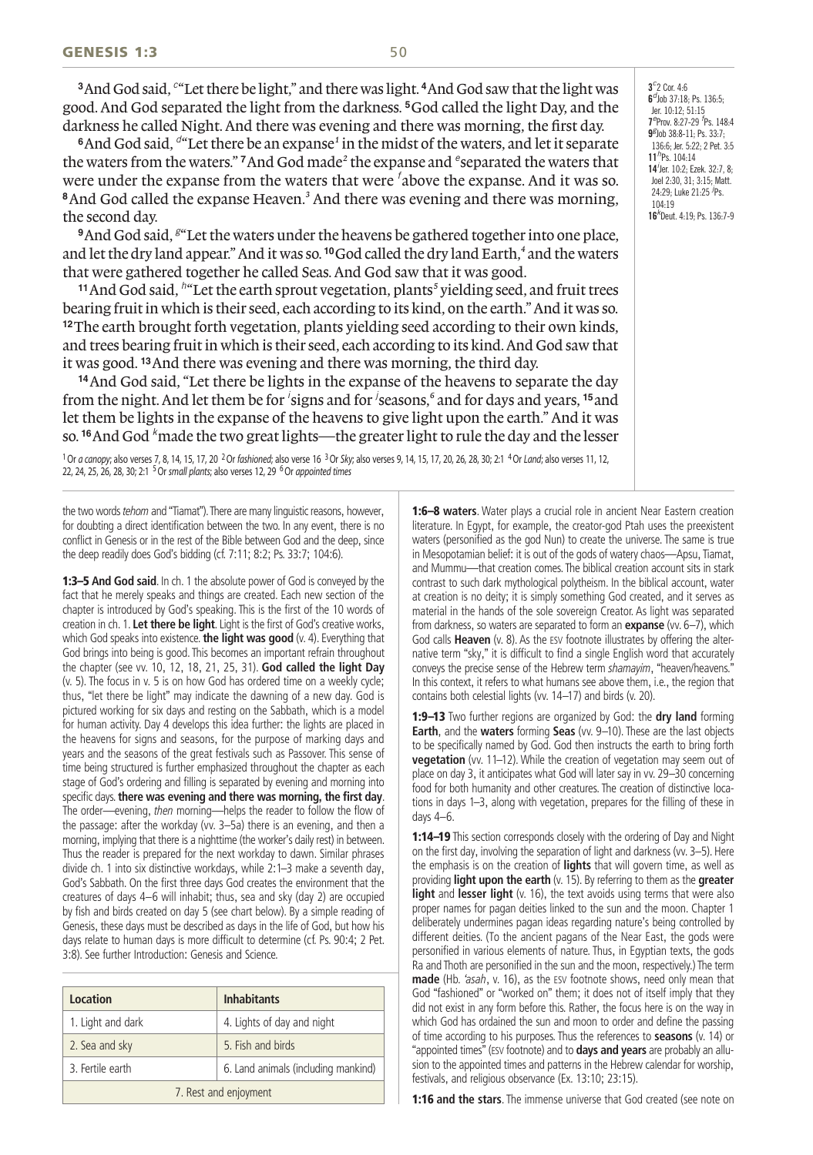**<sup>3</sup>**And God said, *<sup>c</sup>* "Let there be light," and there was light. **<sup>4</sup>**And God saw that the light was good. And God separated the light from the darkness. **<sup>5</sup>**God called the light Day, and the darkness he called Night. And there was evening and there was morning, the first day.

**<sup>6</sup>**And God said, *<sup>d</sup>* "Let there be an expanse*1* in the midst of the waters, and let it separate the waters from the waters." **<sup>7</sup>**And God made*2* the expanse and *<sup>e</sup>* separated the waters that were under the expanse from the waters that were *<sup>f</sup>* above the expanse. And it was so. **<sup>8</sup>**And God called the expanse Heaven.*3* And there was evening and there was morning, the second day.

<sup>9</sup>And God said, <sup>g</sup> Let the waters under the heavens be gathered together into one place, and let the dry land appear." And it was so. **<sup>10</sup>**God called the dry land Earth,*4* and the waters that were gathered together he called Seas. And God saw that it was good.

**<sup>11</sup>**And God said, *<sup>h</sup>* "Let the earth sprout vegetation, plants*5* yielding seed, and fruit trees bearing fruit in which is their seed, each according to its kind, on the earth." And it was so. **<sup>12</sup>**The earth brought forth vegetation, plants yielding seed according to their own kinds, and trees bearing fruit in which is their seed, each according to its kind. And God saw that it was good. **<sup>13</sup>**And there was evening and there was morning, the third day.

**<sup>14</sup>**And God said, "Let there be lights in the expanse of the heavens to separate the day from the night. And let them be for *<sup>i</sup>* signs and for *<sup>j</sup>* seasons,*6* and for days and years, **<sup>15</sup>**and let them be lights in the expanse of the heavens to give light upon the earth." And it was so. **<sup>16</sup>**And God *<sup>k</sup>* made the two great lights—the greater light to rule the day and the lesser

1Or *a canopy*; also verses 7, 8, 14, 15, 17, 20 2Or *fashioned*; also verse 16 3Or *Sky*; also verses 9, 14, 15, 17, 20, 26, 28, 30; 2:1 4Or *Land*; also verses 11, 12, 22, 24, 25, 26, 28, 30; 2:1 5Or *small plants*; also verses 12, 29 6Or *appointed times*

the two words tehom and "Tiamat"). There are many linguistic reasons, however, for doubting a direct identification between the two. In any event, there is no conflict in Genesis or in the rest of the Bible between God and the deep, since the deep readily does God's bidding (cf. 7:11; 8:2; Ps. 33:7; 104:6).

1:3–5 **And God said**. In ch. 1 the absolute power of God is conveyed by the fact that he merely speaks and things are created. Each new section of the chapter is introduced by God's speaking. This is the first of the 10 words of creation in ch. 1. **Let there be light**. Light is the first of God's creative works, which God speaks into existence. **the light was good** (v. 4). Everything that God brings into being is good. This becomes an important refrain throughout the chapter (see vv. 10, 12, 18, 21, 25, 31). **God called the light Day** (v. 5). The focus in v. 5 is on how God has ordered time on a weekly cycle; thus, "let there be light" may indicate the dawning of a new day. God is pictured working for six days and resting on the Sabbath, which is a model for human activity. Day 4 develops this idea further: the lights are placed in the heavens for signs and seasons, for the purpose of marking days and years and the seasons of the great festivals such as Passover. This sense of time being structured is further emphasized throughout the chapter as each stage of God's ordering and filling is separated by evening and morning into specific days. **there was evening and there was morning, the first day**. The order—evening, then morning—helps the reader to follow the flow of the passage: after the workday (vv. 3–5a) there is an evening, and then a morning, implying that there is a nighttime (the worker's daily rest) in between. Thus the reader is prepared for the next workday to dawn. Similar phrases divide ch. 1 into six distinctive workdays, while 2:1–3 make a seventh day, God's Sabbath. On the first three days God creates the environment that the creatures of days 4–6 will inhabit; thus, sea and sky (day 2) are occupied by fish and birds created on day 5 (see chart below). By a simple reading of Genesis, these days must be described as days in the life of God, but how his days relate to human days is more difficult to determine (cf. Ps. 90:4; 2 Pet. 3:8). See further Introduction: Genesis and Science.

| <b>Location</b>       | <b>Inhabitants</b>                  |
|-----------------------|-------------------------------------|
| 1. Light and dark     | 4. Lights of day and night          |
| 2. Sea and sky        | 5 Fish and birds                    |
| 3. Fertile earth      | 6. Land animals (including mankind) |
| 7. Rest and enjoyment |                                     |

3 *c* 2 Cor. 4:6 6 *d* Job 37:18; Ps. 136:5; Jer. 10:12; 51:15 7 *e* Prov. 8:27-29 *<sup>f</sup>* Ps. 148:4 9 *g* Job 38:8-11; Ps. 33:7; 136:6; Jer. 5:22; 2 Pet. 3:5 11*<sup>h</sup>* Ps. 104:14 14*i* Jer. 10:2; Ezek. 32:7, 8; Joel 2:30, 31; 3:15; Matt. 24:29; Luke 21:25 *<sup>j</sup>* Ps. 104:19 16*k* Deut. 4:19; Ps. 136:7-9

1:6–8 **waters**. Water plays a crucial role in ancient Near Eastern creation literature. In Egypt, for example, the creator-god Ptah uses the preexistent waters (personified as the god Nun) to create the universe. The same is true in Mesopotamian belief: it is out of the gods of watery chaos—Apsu, Tiamat, and Mummu—that creation comes. The biblical creation account sits in stark contrast to such dark mythological polytheism. In the biblical account, water at creation is no deity; it is simply something God created, and it serves as material in the hands of the sole sovereign Creator. As light was separated from darkness, so waters are separated to form an **expanse** (vv. 6–7), which God calls **Heaven** (v. 8). As the esv footnote illustrates by offering the alternative term "sky," it is difficult to find a single English word that accurately conveys the precise sense of the Hebrew term shamayim, "heaven/heavens." In this context, it refers to what humans see above them, i.e., the region that contains both celestial lights (vv. 14–17) and birds (v. 20).

1:9–13 Two further regions are organized by God: the **dry land** forming **Earth**, and the **waters** forming **Seas** (vv. 9–10). These are the last objects to be specifically named by God. God then instructs the earth to bring forth **vegetation** (vv. 11–12). While the creation of vegetation may seem out of place on day 3, it anticipates what God will later say in vv. 29–30 concerning food for both humanity and other creatures. The creation of distinctive locations in days 1–3, along with vegetation, prepares for the filling of these in days 4–6.

1:14–19 This section corresponds closely with the ordering of Day and Night on the first day, involving the separation of light and darkness (vv. 3–5). Here the emphasis is on the creation of **lights** that will govern time, as well as providing **light upon the earth** (v. 15). By referring to them as the **greater light** and **lesser light** (v. 16), the text avoids using terms that were also proper names for pagan deities linked to the sun and the moon. Chapter 1 deliberately undermines pagan ideas regarding nature's being controlled by different deities. (To the ancient pagans of the Near East, the gods were personified in various elements of nature. Thus, in Egyptian texts, the gods Ra and Thoth are personified in the sun and the moon, respectively.) The term **made** (Hb. *'*asah, v. 16), as the esv footnote shows, need only mean that God "fashioned" or "worked on" them; it does not of itself imply that they did not exist in any form before this. Rather, the focus here is on the way in which God has ordained the sun and moon to order and define the passing of time according to his purposes. Thus the references to **seasons** (v. 14) or "appointed times" (esv footnote) and to **days and years** are probably an allusion to the appointed times and patterns in the Hebrew calendar for worship, festivals, and religious observance (Ex. 13:10; 23:15).

1:16 **and the stars**. The immense universe that God created (see note on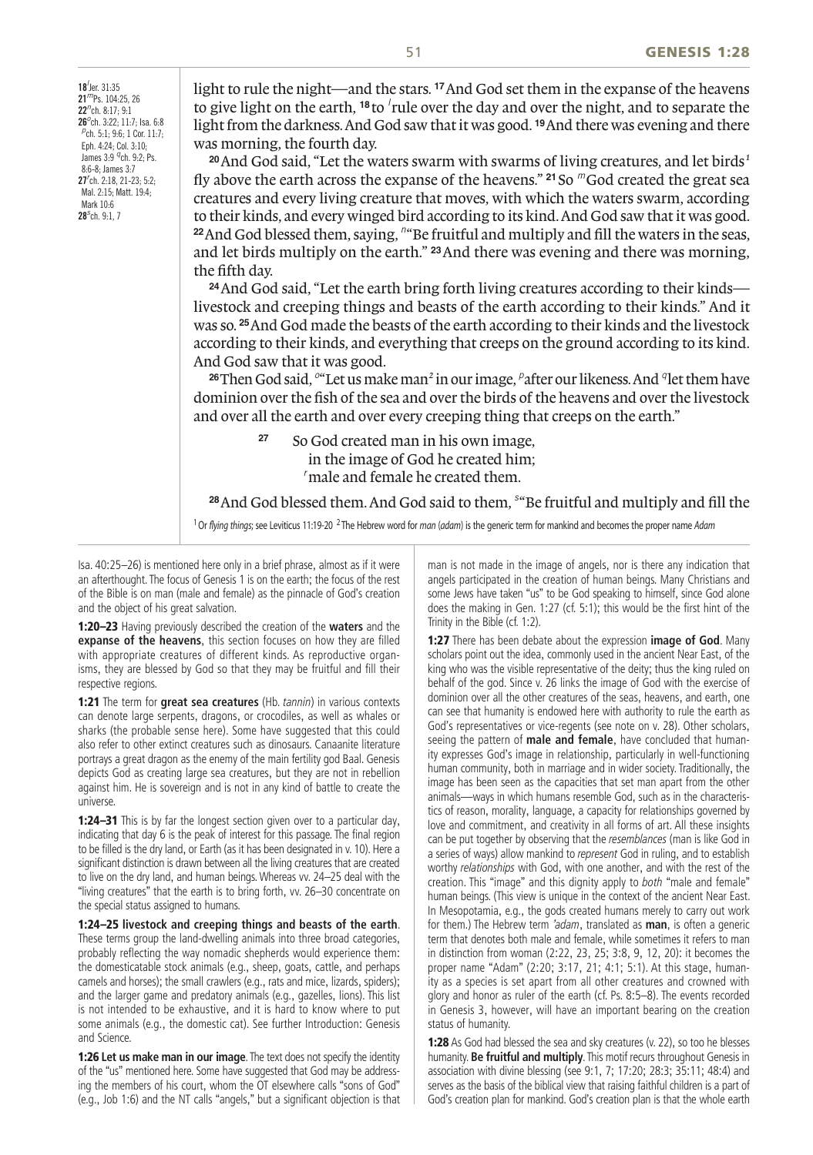18*l* Jer. 31:35 21*m* Ps. 104:25, 26 22*<sup>n</sup>* ch. 8:17; 9:1 **26<sup>***o***</sup>ch.** 3:22; 11:7; Isa. 6:8  $P$ ch. 5:1; 9:6; 1 Cor. 11:7; Eph. 4:24; Col. 3:10; James 3:9 <sup>q</sup>ch. 9:2; Ps. 8:6-8; James 3:7 27*r* ch. 2:18, 21-23; 5:2; Mal. 2:15; Matt. 19:4; Mark 10:6 28*s* ch. 9:1, 7

light to rule the night—and the stars. **<sup>17</sup>**And God set them in the expanse of the heavens to give light on the earth, **<sup>18</sup>**to *<sup>l</sup>* rule over the day and over the night, and to separate the light from the darkness. And God saw that it was good. **<sup>19</sup>**And there was evening and there was morning, the fourth day.

**<sup>20</sup>**And God said, "Let the waters swarm with swarms of living creatures, and let birds*1* fly above the earth across the expanse of the heavens." **<sup>21</sup>** So *<sup>m</sup>*God created the great sea creatures and every living creature that moves, with which the waters swarm, according to their kinds, and every winged bird according to its kind. And God saw that it was good. **<sup>22</sup>**And God blessed them, saying, *<sup>n</sup>* "Be fruitful and multiply and fill the waters in the seas, and let birds multiply on the earth." **<sup>23</sup>**And there was evening and there was morning, the fifth day.

**<sup>24</sup>**And God said, "Let the earth bring forth living creatures according to their kinds livestock and creeping things and beasts of the earth according to their kinds." And it was so. **<sup>25</sup>**And God made the beasts of the earth according to their kinds and the livestock according to their kinds, and everything that creeps on the ground according to its kind. And God saw that it was good.

**<sup>26</sup>**Then God said, *<sup>o</sup>* "Let us make man*2* in our image, *<sup>p</sup>* after our likeness. And *<sup>q</sup>* let them have dominion over the fish of the sea and over the birds of the heavens and over the livestock and over all the earth and over every creeping thing that creeps on the earth."

**<sup>27</sup>** So God created man in his own image, in the image of God he created him; *<sup>r</sup>* male and female he created them.

**<sup>28</sup>**And God blessed them. And God said to them, *<sup>s</sup>* "Be fruitful and multiply and fill the

1Or *flying things*; see Leviticus 11:19-20 <sup>2</sup> The Hebrew word for *man* (*adam*) is the generic term for mankind and becomes the proper name *Adam*

Isa. 40:25–26) is mentioned here only in a brief phrase, almost as if it were an afterthought. The focus of Genesis 1 is on the earth; the focus of the rest of the Bible is on man (male and female) as the pinnacle of God's creation and the object of his great salvation.

1:20–23 Having previously described the creation of the **waters** and the **expanse of the heavens**, this section focuses on how they are filled with appropriate creatures of different kinds. As reproductive organisms, they are blessed by God so that they may be fruitful and fill their respective regions.

1:21 The term for **great sea creatures** (Hb. tannin) in various contexts can denote large serpents, dragons, or crocodiles, as well as whales or sharks (the probable sense here). Some have suggested that this could also refer to other extinct creatures such as dinosaurs. Canaanite literature portrays a great dragon as the enemy of the main fertility god Baal. Genesis depicts God as creating large sea creatures, but they are not in rebellion against him. He is sovereign and is not in any kind of battle to create the universe.

1:24–31 This is by far the longest section given over to a particular day, indicating that day 6 is the peak of interest for this passage. The final region to be filled is the dry land, or Earth (as it has been designated in v. 10). Here a significant distinction is drawn between all the living creatures that are created to live on the dry land, and human beings. Whereas vv. 24–25 deal with the "living creatures" that the earth is to bring forth, vv. 26–30 concentrate on the special status assigned to humans.

1:24–25 **livestock and creeping things and beasts of the earth**. These terms group the land-dwelling animals into three broad categories, probably reflecting the way nomadic shepherds would experience them: the domesticatable stock animals (e.g., sheep, goats, cattle, and perhaps camels and horses); the small crawlers (e.g., rats and mice, lizards, spiders); and the larger game and predatory animals (e.g., gazelles, lions). This list is not intended to be exhaustive, and it is hard to know where to put some animals (e.g., the domestic cat). See further Introduction: Genesis and Science.

1:26 **Let us make man in our image**. The text does not specify the identity of the "us" mentioned here. Some have suggested that God may be addressing the members of his court, whom the OT elsewhere calls "sons of God" (e.g., Job 1:6) and the NT calls "angels," but a significant objection is that man is not made in the image of angels, nor is there any indication that angels participated in the creation of human beings. Many Christians and some Jews have taken "us" to be God speaking to himself, since God alone does the making in Gen. 1:27 (cf. 5:1); this would be the first hint of the Trinity in the Bible (cf. 1:2).

1:27 There has been debate about the expression **image of God**. Many scholars point out the idea, commonly used in the ancient Near East, of the king who was the visible representative of the deity; thus the king ruled on behalf of the god. Since v. 26 links the image of God with the exercise of dominion over all the other creatures of the seas, heavens, and earth, one can see that humanity is endowed here with authority to rule the earth as God's representatives or vice-regents (see note on v. 28). Other scholars, seeing the pattern of **male and female**, have concluded that humanity expresses God's image in relationship, particularly in well-functioning human community, both in marriage and in wider society. Traditionally, the image has been seen as the capacities that set man apart from the other animals—ways in which humans resemble God, such as in the characteristics of reason, morality, language, a capacity for relationships governed by love and commitment, and creativity in all forms of art. All these insights can be put together by observing that the resemblances (man is like God in a series of ways) allow mankind to represent God in ruling, and to establish worthy relationships with God, with one another, and with the rest of the creation. This "image" and this dignity apply to both "male and female" human beings. (This view is unique in the context of the ancient Near East. In Mesopotamia, e.g., the gods created humans merely to carry out work for them.) The Hebrew term *'*adam, translated as **man**, is often a generic term that denotes both male and female, while sometimes it refers to man in distinction from woman (2:22, 23, 25; 3:8, 9, 12, 20): it becomes the proper name "Adam" (2:20; 3:17, 21; 4:1; 5:1). At this stage, humanity as a species is set apart from all other creatures and crowned with glory and honor as ruler of the earth (cf. Ps. 8:5–8). The events recorded in Genesis 3, however, will have an important bearing on the creation status of humanity.

1:28 As God had blessed the sea and sky creatures (v. 22), so too he blesses humanity. **Be fruitful and multiply**. This motif recurs throughout Genesis in association with divine blessing (see 9:1, 7; 17:20; 28:3; 35:11; 48:4) and serves as the basis of the biblical view that raising faithful children is a part of God's creation plan for mankind. God's creation plan is that the whole earth